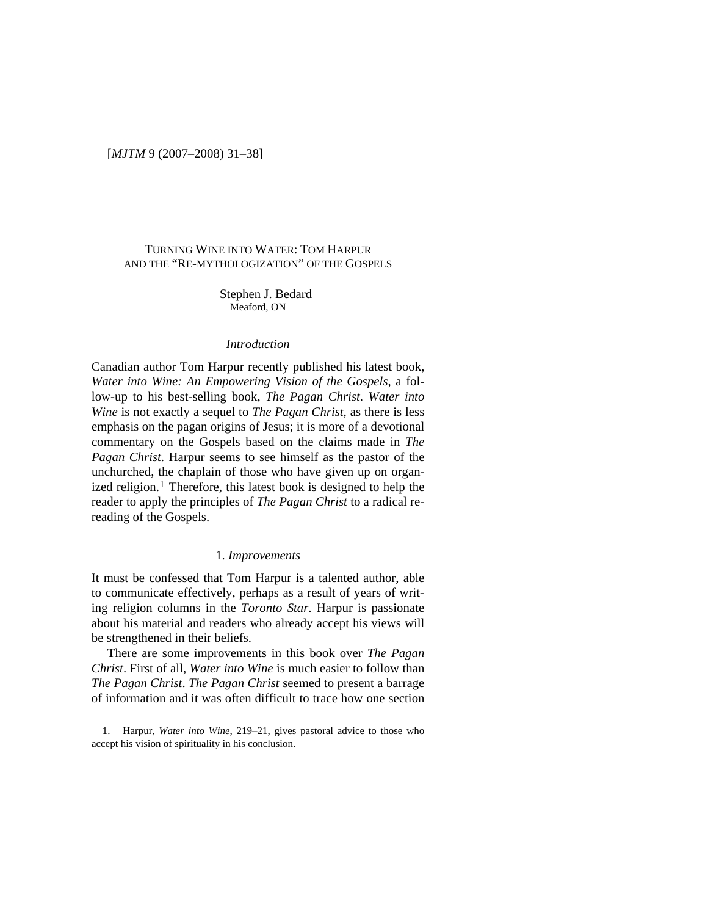# TURNING WINE INTO WATER: TOM HARPUR AND THE "RE-MYTHOLOGIZATION" OF THE GOSPELS

Stephen J. Bedard Meaford, ON

## *Introduction*

Canadian author Tom Harpur recently published his latest book, *Water into Wine: An Empowering Vision of the Gospels*, a follow-up to his best-selling book, *The Pagan Christ*. *Water into Wine* is not exactly a sequel to *The Pagan Christ*, as there is less emphasis on the pagan origins of Jesus; it is more of a devotional commentary on the Gospels based on the claims made in *The Pagan Christ*. Harpur seems to see himself as the pastor of the unchurched, the chaplain of those who have given up on organ-ized religion.<sup>[1](#page-0-0)</sup> Therefore, this latest book is designed to help the reader to apply the principles of *The Pagan Christ* to a radical rereading of the Gospels.

#### 1. *Improvements*

It must be confessed that Tom Harpur is a talented author, able to communicate effectively, perhaps as a result of years of writing religion columns in the *Toronto Star*. Harpur is passionate about his material and readers who already accept his views will be strengthened in their beliefs.

There are some improvements in this book over *The Pagan Christ*. First of all, *Water into Wine* is much easier to follow than *The Pagan Christ*. *The Pagan Christ* seemed to present a barrage of information and it was often difficult to trace how one section

<span id="page-0-0"></span>1. Harpur, *Water into Wine*, 219–21, gives pastoral advice to those who accept his vision of spirituality in his conclusion.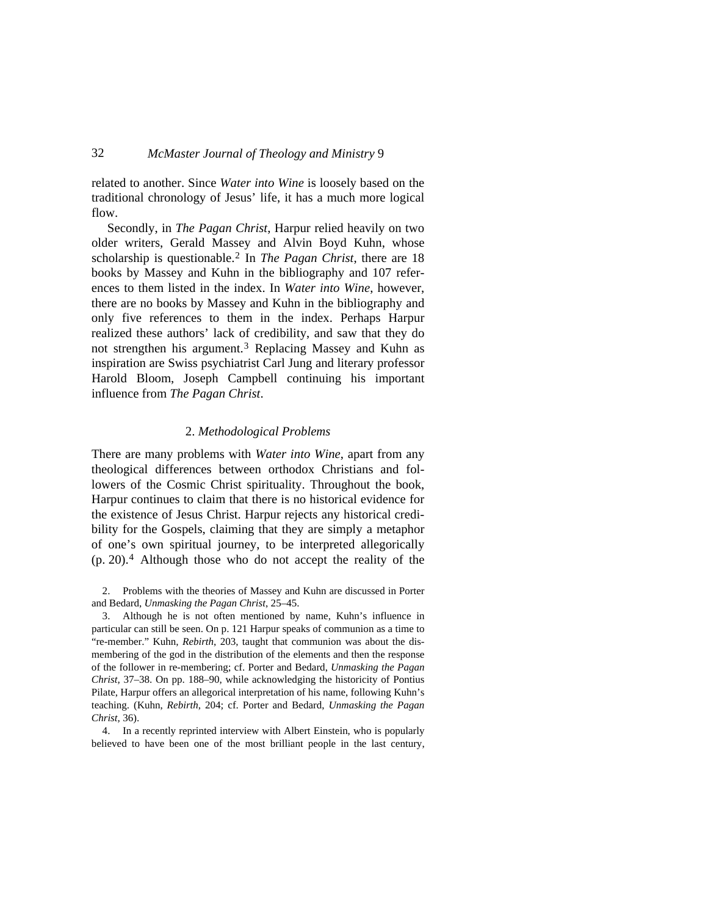related to another. Since *Water into Wine* is loosely based on the traditional chronology of Jesus' life, it has a much more logical flow.

Secondly, in *The Pagan Christ*, Harpur relied heavily on two older writers, Gerald Massey and Alvin Boyd Kuhn, whose scholarship is questionable.[2](#page-1-0) In *The Pagan Christ*, there are 18 books by Massey and Kuhn in the bibliography and 107 references to them listed in the index. In *Water into Wine*, however, there are no books by Massey and Kuhn in the bibliography and only five references to them in the index. Perhaps Harpur realized these authors' lack of credibility, and saw that they do not strengthen his argument.<sup>[3](#page-1-1)</sup> Replacing Massey and Kuhn as inspiration are Swiss psychiatrist Carl Jung and literary professor Harold Bloom, Joseph Campbell continuing his important influence from *The Pagan Christ*.

### 2. *Methodological Problems*

There are many problems with *Water into Wine*, apart from any theological differences between orthodox Christians and followers of the Cosmic Christ spirituality. Throughout the book, Harpur continues to claim that there is no historical evidence for the existence of Jesus Christ. Harpur rejects any historical credibility for the Gospels, claiming that they are simply a metaphor of one's own spiritual journey, to be interpreted allegorically (p. 20).[4](#page-1-2) Although those who do not accept the reality of the

<span id="page-1-0"></span>2. Problems with the theories of Massey and Kuhn are discussed in Porter and Bedard, *Unmasking the Pagan Christ*, 25–45.

<span id="page-1-1"></span>3. Although he is not often mentioned by name, Kuhn's influence in particular can still be seen. On p. 121 Harpur speaks of communion as a time to "re-member." Kuhn, *Rebirth*, 203, taught that communion was about the dismembering of the god in the distribution of the elements and then the response of the follower in re-membering; cf. Porter and Bedard, *Unmasking the Pagan Christ,* 37–38. On pp. 188–90, while acknowledging the historicity of Pontius Pilate, Harpur offers an allegorical interpretation of his name, following Kuhn's teaching. (Kuhn, *Rebirth*, 204; cf. Porter and Bedard, *Unmasking the Pagan Christ,* 36).

<span id="page-1-2"></span>4. In a recently reprinted interview with Albert Einstein, who is popularly believed to have been one of the most brilliant people in the last century,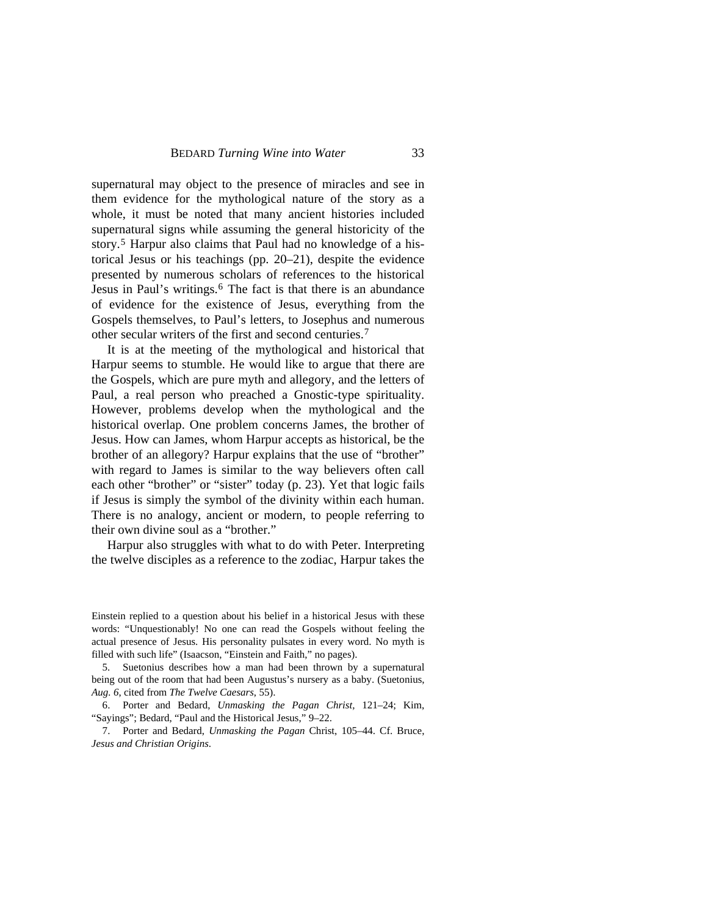supernatural may object to the presence of miracles and see in them evidence for the mythological nature of the story as a whole, it must be noted that many ancient histories included supernatural signs while assuming the general historicity of the story.[5](#page-2-0) Harpur also claims that Paul had no knowledge of a historical Jesus or his teachings (pp. 20–21), despite the evidence presented by numerous scholars of references to the historical Jesus in Paul's writings.<sup>[6](#page-2-1)</sup> The fact is that there is an abundance of evidence for the existence of Jesus, everything from the Gospels themselves, to Paul's letters, to Josephus and numerous other secular writers of the first and second centuries.[7](#page-2-2)

It is at the meeting of the mythological and historical that Harpur seems to stumble. He would like to argue that there are the Gospels, which are pure myth and allegory, and the letters of Paul, a real person who preached a Gnostic-type spirituality. However, problems develop when the mythological and the historical overlap. One problem concerns James, the brother of Jesus. How can James, whom Harpur accepts as historical, be the brother of an allegory? Harpur explains that the use of "brother" with regard to James is similar to the way believers often call each other "brother" or "sister" today (p. 23). Yet that logic fails if Jesus is simply the symbol of the divinity within each human. There is no analogy, ancient or modern, to people referring to their own divine soul as a "brother."

Harpur also struggles with what to do with Peter. Interpreting the twelve disciples as a reference to the zodiac, Harpur takes the

Einstein replied to a question about his belief in a historical Jesus with these words: "Unquestionably! No one can read the Gospels without feeling the actual presence of Jesus. His personality pulsates in every word. No myth is filled with such life" (Isaacson, "Einstein and Faith," no pages).

<span id="page-2-0"></span>5. Suetonius describes how a man had been thrown by a supernatural being out of the room that had been Augustus's nursery as a baby. (Suetonius, *Aug. 6*, cited from *The Twelve Caesars*, 55).

<span id="page-2-1"></span>6. Porter and Bedard, *Unmasking the Pagan Christ,* 121–24; Kim, "Sayings"; Bedard, "Paul and the Historical Jesus," 9–22.

<span id="page-2-2"></span>7. Porter and Bedard, *Unmasking the Pagan* Christ, 105–44. Cf. Bruce, *Jesus and Christian Origins*.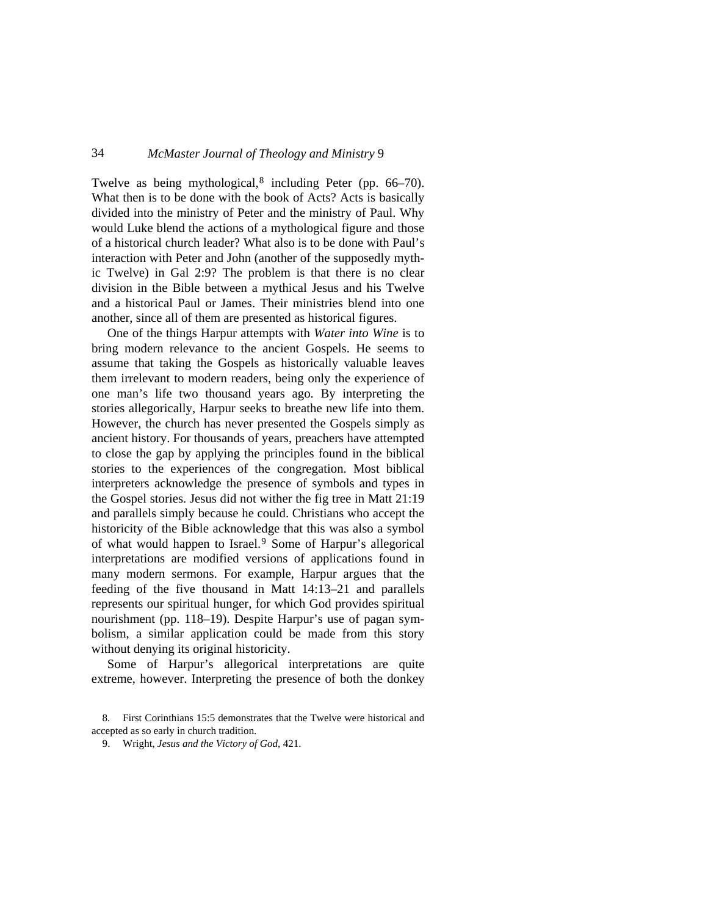Twelve as being mythological, $8$  including Peter (pp. 66–70). What then is to be done with the book of Acts? Acts is basically divided into the ministry of Peter and the ministry of Paul. Why would Luke blend the actions of a mythological figure and those of a historical church leader? What also is to be done with Paul's interaction with Peter and John (another of the supposedly mythic Twelve) in Gal 2:9? The problem is that there is no clear division in the Bible between a mythical Jesus and his Twelve and a historical Paul or James. Their ministries blend into one another, since all of them are presented as historical figures.

One of the things Harpur attempts with *Water into Wine* is to bring modern relevance to the ancient Gospels. He seems to assume that taking the Gospels as historically valuable leaves them irrelevant to modern readers, being only the experience of one man's life two thousand years ago. By interpreting the stories allegorically, Harpur seeks to breathe new life into them. However, the church has never presented the Gospels simply as ancient history. For thousands of years, preachers have attempted to close the gap by applying the principles found in the biblical stories to the experiences of the congregation. Most biblical interpreters acknowledge the presence of symbols and types in the Gospel stories. Jesus did not wither the fig tree in Matt 21:19 and parallels simply because he could. Christians who accept the historicity of the Bible acknowledge that this was also a symbol of what would happen to Israel.[9](#page-3-1) Some of Harpur's allegorical interpretations are modified versions of applications found in many modern sermons. For example, Harpur argues that the feeding of the five thousand in Matt 14:13–21 and parallels represents our spiritual hunger, for which God provides spiritual nourishment (pp. 118–19). Despite Harpur's use of pagan symbolism, a similar application could be made from this story without denying its original historicity.

Some of Harpur's allegorical interpretations are quite extreme, however. Interpreting the presence of both the donkey

<span id="page-3-1"></span><span id="page-3-0"></span><sup>8.</sup> First Corinthians 15:5 demonstrates that the Twelve were historical and accepted as so early in church tradition.

<sup>9.</sup> Wright, *Jesus and the Victory of God*, 421.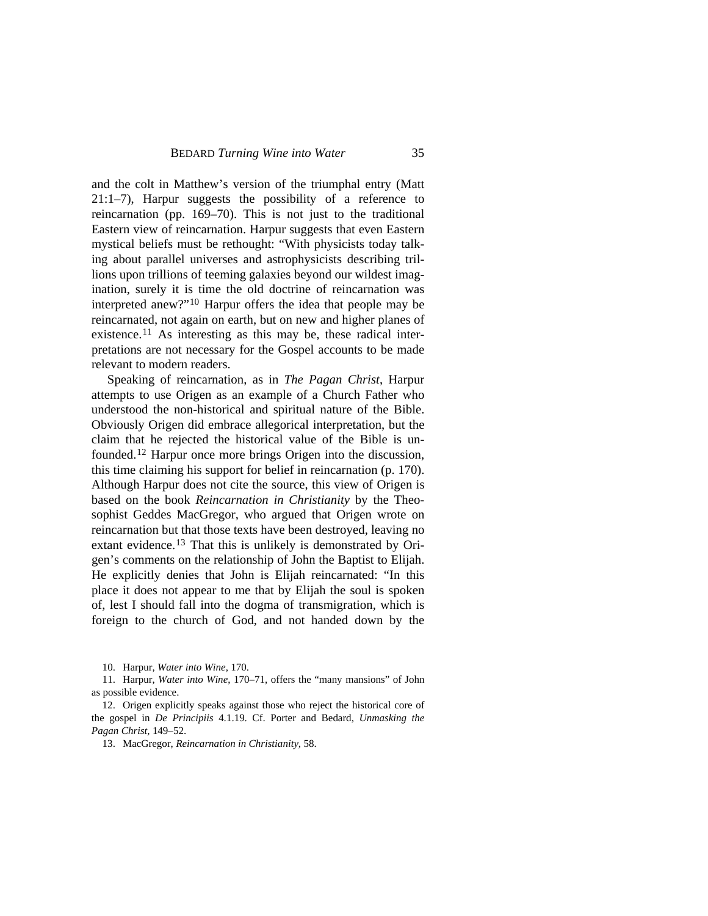and the colt in Matthew's version of the triumphal entry (Matt 21:1–7), Harpur suggests the possibility of a reference to reincarnation (pp. 169–70). This is not just to the traditional Eastern view of reincarnation. Harpur suggests that even Eastern mystical beliefs must be rethought: "With physicists today talking about parallel universes and astrophysicists describing trillions upon trillions of teeming galaxies beyond our wildest imagination, surely it is time the old doctrine of reincarnation was interpreted anew?"[10](#page-4-0) Harpur offers the idea that people may be reincarnated, not again on earth, but on new and higher planes of existence.[11](#page-4-1) As interesting as this may be, these radical interpretations are not necessary for the Gospel accounts to be made relevant to modern readers.

Speaking of reincarnation, as in *The Pagan Christ*, Harpur attempts to use Origen as an example of a Church Father who understood the non-historical and spiritual nature of the Bible. Obviously Origen did embrace allegorical interpretation, but the claim that he rejected the historical value of the Bible is unfounded[.12](#page-4-2) Harpur once more brings Origen into the discussion, this time claiming his support for belief in reincarnation (p. 170). Although Harpur does not cite the source, this view of Origen is based on the book *Reincarnation in Christianity* by the Theosophist Geddes MacGregor, who argued that Origen wrote on reincarnation but that those texts have been destroyed, leaving no extant evidence.[13](#page-4-3) That this is unlikely is demonstrated by Origen's comments on the relationship of John the Baptist to Elijah. He explicitly denies that John is Elijah reincarnated: "In this place it does not appear to me that by Elijah the soul is spoken of, lest I should fall into the dogma of transmigration, which is foreign to the church of God, and not handed down by the

10. Harpur, *Water into Wine*, 170.

<span id="page-4-1"></span><span id="page-4-0"></span>11. Harpur, *Water into Wine*, 170–71, offers the "many mansions" of John as possible evidence.

<span id="page-4-3"></span><span id="page-4-2"></span>12. Origen explicitly speaks against those who reject the historical core of the gospel in *De Principiis* 4.1.19. Cf. Porter and Bedard, *Unmasking the Pagan Christ,* 149–52.

13. MacGregor, *Reincarnation in Christianity*, 58.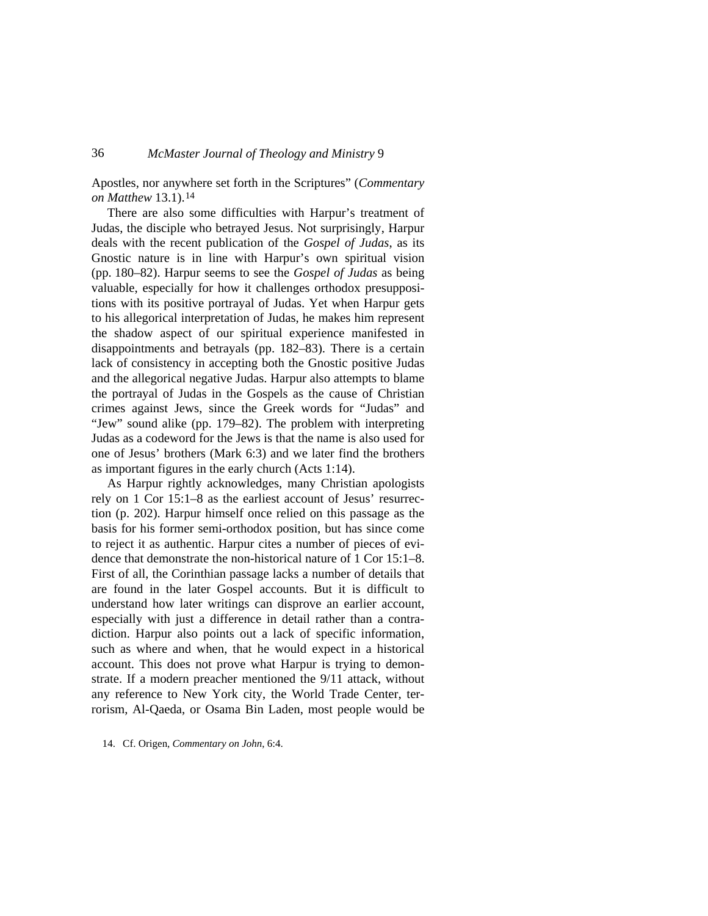Apostles, nor anywhere set forth in the Scriptures" (*Commentary on Matthew* 13.1).[14](#page-5-0)

There are also some difficulties with Harpur's treatment of Judas, the disciple who betrayed Jesus. Not surprisingly, Harpur deals with the recent publication of the *Gospel of Judas*, as its Gnostic nature is in line with Harpur's own spiritual vision (pp. 180–82). Harpur seems to see the *Gospel of Judas* as being valuable, especially for how it challenges orthodox presuppositions with its positive portrayal of Judas. Yet when Harpur gets to his allegorical interpretation of Judas, he makes him represent the shadow aspect of our spiritual experience manifested in disappointments and betrayals (pp. 182–83). There is a certain lack of consistency in accepting both the Gnostic positive Judas and the allegorical negative Judas. Harpur also attempts to blame the portrayal of Judas in the Gospels as the cause of Christian crimes against Jews, since the Greek words for "Judas" and "Jew" sound alike (pp. 179–82). The problem with interpreting Judas as a codeword for the Jews is that the name is also used for one of Jesus' brothers (Mark 6:3) and we later find the brothers as important figures in the early church (Acts 1:14).

As Harpur rightly acknowledges, many Christian apologists rely on 1 Cor 15:1–8 as the earliest account of Jesus' resurrection (p. 202). Harpur himself once relied on this passage as the basis for his former semi-orthodox position, but has since come to reject it as authentic. Harpur cites a number of pieces of evidence that demonstrate the non-historical nature of 1 Cor 15:1–8. First of all, the Corinthian passage lacks a number of details that are found in the later Gospel accounts. But it is difficult to understand how later writings can disprove an earlier account, especially with just a difference in detail rather than a contradiction. Harpur also points out a lack of specific information, such as where and when, that he would expect in a historical account. This does not prove what Harpur is trying to demonstrate. If a modern preacher mentioned the 9/11 attack, without any reference to New York city, the World Trade Center, terrorism, Al-Qaeda, or Osama Bin Laden, most people would be

<span id="page-5-0"></span>14. Cf. Origen, *Commentary on John*, 6:4.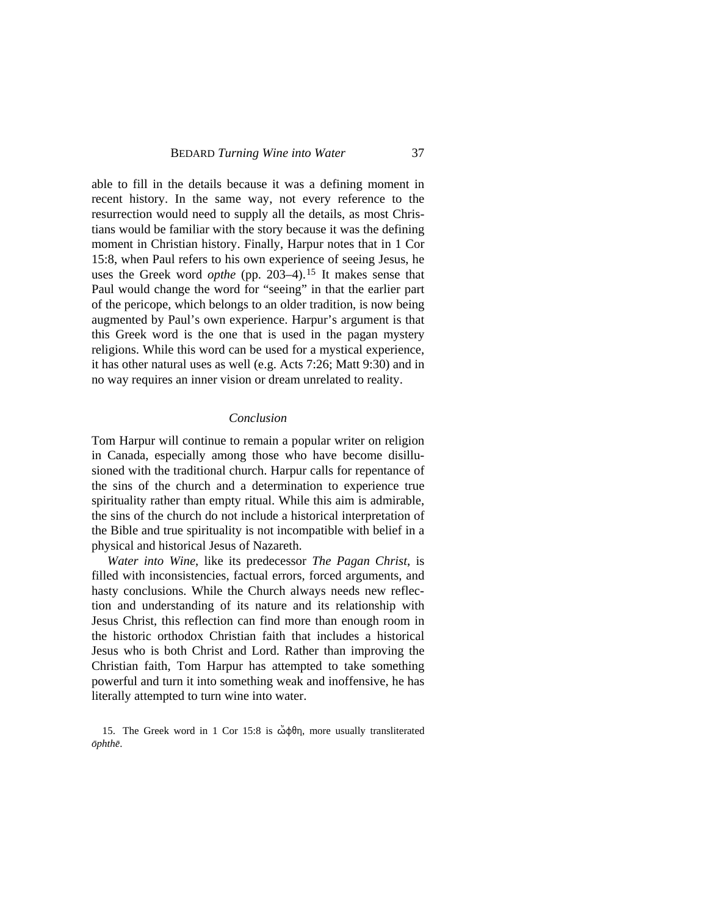able to fill in the details because it was a defining moment in recent history. In the same way, not every reference to the resurrection would need to supply all the details, as most Christians would be familiar with the story because it was the defining moment in Christian history. Finally, Harpur notes that in 1 Cor 15:8, when Paul refers to his own experience of seeing Jesus, he uses the Greek word *opthe* (pp. 203–4).[15](#page-6-0) It makes sense that Paul would change the word for "seeing" in that the earlier part of the pericope, which belongs to an older tradition, is now being augmented by Paul's own experience. Harpur's argument is that this Greek word is the one that is used in the pagan mystery religions. While this word can be used for a mystical experience, it has other natural uses as well (e.g. Acts 7:26; Matt 9:30) and in no way requires an inner vision or dream unrelated to reality.

#### *Conclusion*

Tom Harpur will continue to remain a popular writer on religion in Canada, especially among those who have become disillusioned with the traditional church. Harpur calls for repentance of the sins of the church and a determination to experience true spirituality rather than empty ritual. While this aim is admirable, the sins of the church do not include a historical interpretation of the Bible and true spirituality is not incompatible with belief in a physical and historical Jesus of Nazareth.

*Water into Wine*, like its predecessor *The Pagan Christ*, is filled with inconsistencies, factual errors, forced arguments, and hasty conclusions. While the Church always needs new reflection and understanding of its nature and its relationship with Jesus Christ, this reflection can find more than enough room in the historic orthodox Christian faith that includes a historical Jesus who is both Christ and Lord. Rather than improving the Christian faith, Tom Harpur has attempted to take something powerful and turn it into something weak and inoffensive, he has literally attempted to turn wine into water.

<span id="page-6-0"></span>15. The Greek word in 1 Cor 15:8 is  $\ddot{\omega} \phi \theta \eta$ , more usually transliterated  $\bar{op}$ *hthē*.